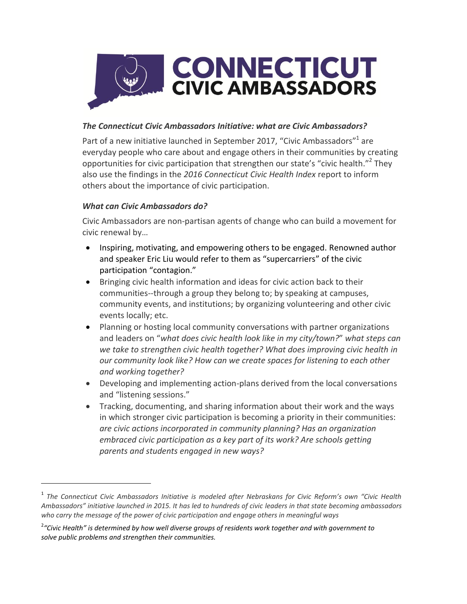

## *The Connecticut Civic Ambassadors Initiative: what are Civic Ambassadors?*

Part of a new initiative launched in September 2017, "Civic Ambassadors"<sup>1</sup> are everyday people who care about and engage others in their communities by creating opportunities for civic participation that strengthen our state's "civic health."<sup>2</sup> They also use the findings in the *2016 Connecticut Civic Health Index* report to inform others about the importance of civic participation.

#### *What can Civic Ambassadors do?*

 $\overline{a}$ 

Civic Ambassadors are non-partisan agents of change who can build a movement for civic renewal by…

- Inspiring, motivating, and empowering others to be engaged. Renowned author and speaker Eric Liu would refer to them as "supercarriers" of the civic participation "contagion."
- Bringing civic health information and ideas for civic action back to their communities--through a group they belong to; by speaking at campuses, community events, and institutions; by organizing volunteering and other civic events locally; etc.
- Planning or hosting local community conversations with partner organizations and leaders on "*what does civic health look like in my city/town?*" *what steps can we take to strengthen civic health together? What does improving civic health in our community look like? How can we create spaces for listening to each other and working together?*
- Developing and implementing action-plans derived from the local conversations and "listening sessions."
- Tracking, documenting, and sharing information about their work and the ways in which stronger civic participation is becoming a priority in their communities: *are civic actions incorporated in community planning? Has an organization embraced civic participation as a key part of its work? Are schools getting parents and students engaged in new ways?*

<sup>1</sup> *The Connecticut Civic Ambassadors Initiative is modeled after Nebraskans for Civic Reform's own "Civic Health*  Ambassadors" initiative launched in 2015. It has led to hundreds of civic leaders in that state becoming ambassadors *who carry the message of the power of civic participation and engage others in meaningful ways*

<sup>2</sup> *"Civic Health" is determined by how well diverse groups of residents work together and with government to solve public problems and strengthen their communities.*